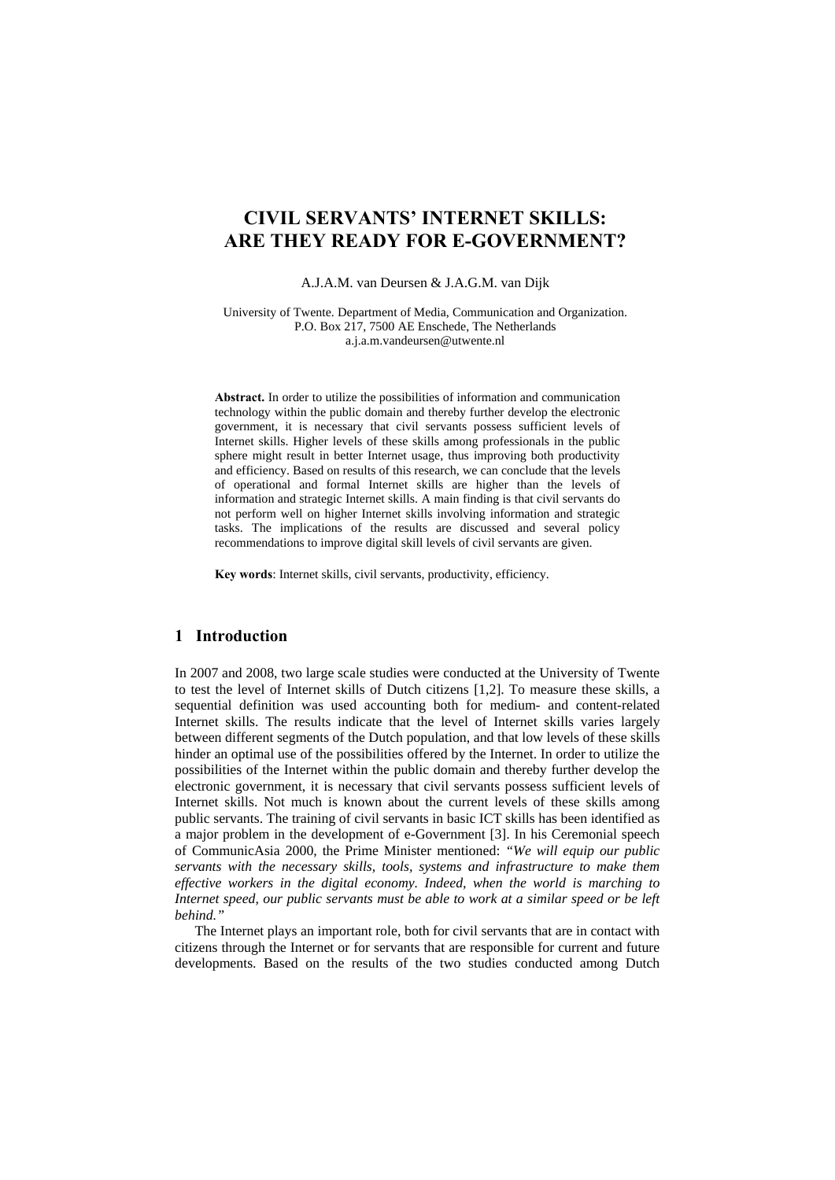# **CIVIL SERVANTS' INTERNET SKILLS: ARE THEY READY FOR E-GOVERNMENT?**

A.J.A.M. van Deursen & J.A.G.M. van Dijk

University of Twente. Department of Media, Communication and Organization. P.O. Box 217, 7500 AE Enschede, The Netherlands a.j.a.m.vandeursen@utwente.nl

**Abstract.** In order to utilize the possibilities of information and communication technology within the public domain and thereby further develop the electronic government, it is necessary that civil servants possess sufficient levels of Internet skills. Higher levels of these skills among professionals in the public sphere might result in better Internet usage, thus improving both productivity and efficiency. Based on results of this research, we can conclude that the levels of operational and formal Internet skills are higher than the levels of information and strategic Internet skills. A main finding is that civil servants do not perform well on higher Internet skills involving information and strategic tasks. The implications of the results are discussed and several policy recommendations to improve digital skill levels of civil servants are given.

**Key words**: Internet skills, civil servants, productivity, efficiency.

## **1 Introduction**

In 2007 and 2008, two large scale studies were conducted at the University of Twente to test the level of Internet skills of Dutch citizens [1,2]. To measure these skills, a sequential definition was used accounting both for medium- and content-related Internet skills. The results indicate that the level of Internet skills varies largely between different segments of the Dutch population, and that low levels of these skills hinder an optimal use of the possibilities offered by the Internet. In order to utilize the possibilities of the Internet within the public domain and thereby further develop the electronic government, it is necessary that civil servants possess sufficient levels of Internet skills. Not much is known about the current levels of these skills among public servants. The training of civil servants in basic ICT skills has been identified as a major problem in the development of e-Government [3]. In his Ceremonial speech of CommunicAsia 2000, the Prime Minister mentioned: *"We will equip our public servants with the necessary skills, tools, systems and infrastructure to make them effective workers in the digital economy. Indeed, when the world is marching to Internet speed, our public servants must be able to work at a similar speed or be left behind."* 

The Internet plays an important role, both for civil servants that are in contact with citizens through the Internet or for servants that are responsible for current and future developments. Based on the results of the two studies conducted among Dutch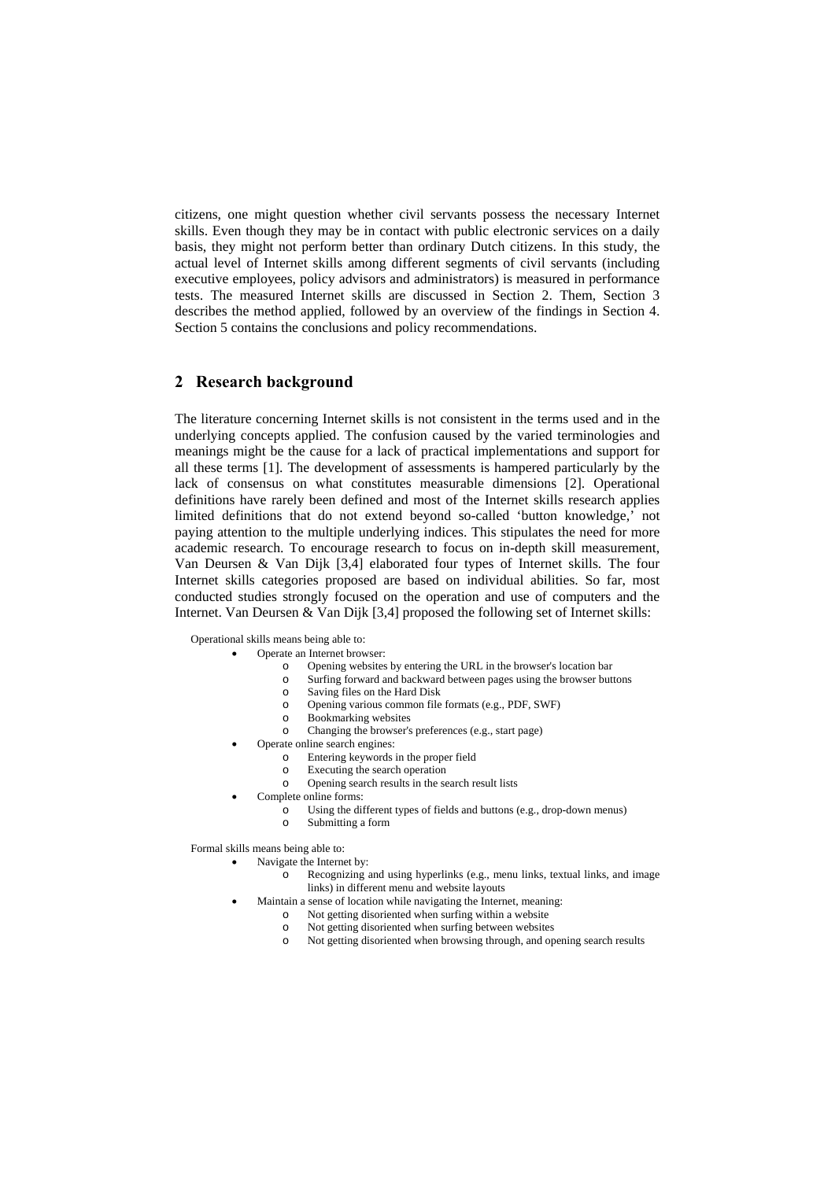citizens, one might question whether civil servants possess the necessary Internet skills. Even though they may be in contact with public electronic services on a daily basis, they might not perform better than ordinary Dutch citizens. In this study, the actual level of Internet skills among different segments of civil servants (including executive employees, policy advisors and administrators) is measured in performance tests. The measured Internet skills are discussed in Section 2. Them, Section 3 describes the method applied, followed by an overview of the findings in Section 4. Section 5 contains the conclusions and policy recommendations.

### **2 Research background**

The literature concerning Internet skills is not consistent in the terms used and in the underlying concepts applied. The confusion caused by the varied terminologies and meanings might be the cause for a lack of practical implementations and support for all these terms [1]. The development of assessments is hampered particularly by the lack of consensus on what constitutes measurable dimensions [2]. Operational definitions have rarely been defined and most of the Internet skills research applies limited definitions that do not extend beyond so-called 'button knowledge,' not paying attention to the multiple underlying indices. This stipulates the need for more academic research. To encourage research to focus on in-depth skill measurement, Van Deursen & Van Dijk [3,4] elaborated four types of Internet skills. The four Internet skills categories proposed are based on individual abilities. So far, most conducted studies strongly focused on the operation and use of computers and the Internet. Van Deursen & Van Dijk [3,4] proposed the following set of Internet skills:

Operational skills means being able to:

- Operate an Internet browser:
	- o Opening websites by entering the URL in the browser's location bar
	- o Surfing forward and backward between pages using the browser buttons
	- o Saving files on the Hard Disk
	- o Opening various common file formats (e.g., PDF, SWF)
	- o Bookmarking websites
	- o Changing the browser's preferences (e.g., start page)
- Operate online search engines:
	- o Entering keywords in the proper field
	- o Executing the search operation
	- o Opening search results in the search result lists
- Complete online forms:
	- o Using the different types of fields and buttons (e.g., drop-down menus)
	- o Submitting a form

Formal skills means being able to:

- Navigate the Internet by:
	- o Recognizing and using hyperlinks (e.g., menu links, textual links, and image links) in different menu and website layouts
	- Maintain a sense of location while navigating the Internet, meaning:
		- o Not getting disoriented when surfing within a website
		- o Not getting disoriented when surfing between websites
		- o Not getting disoriented when browsing through, and opening search results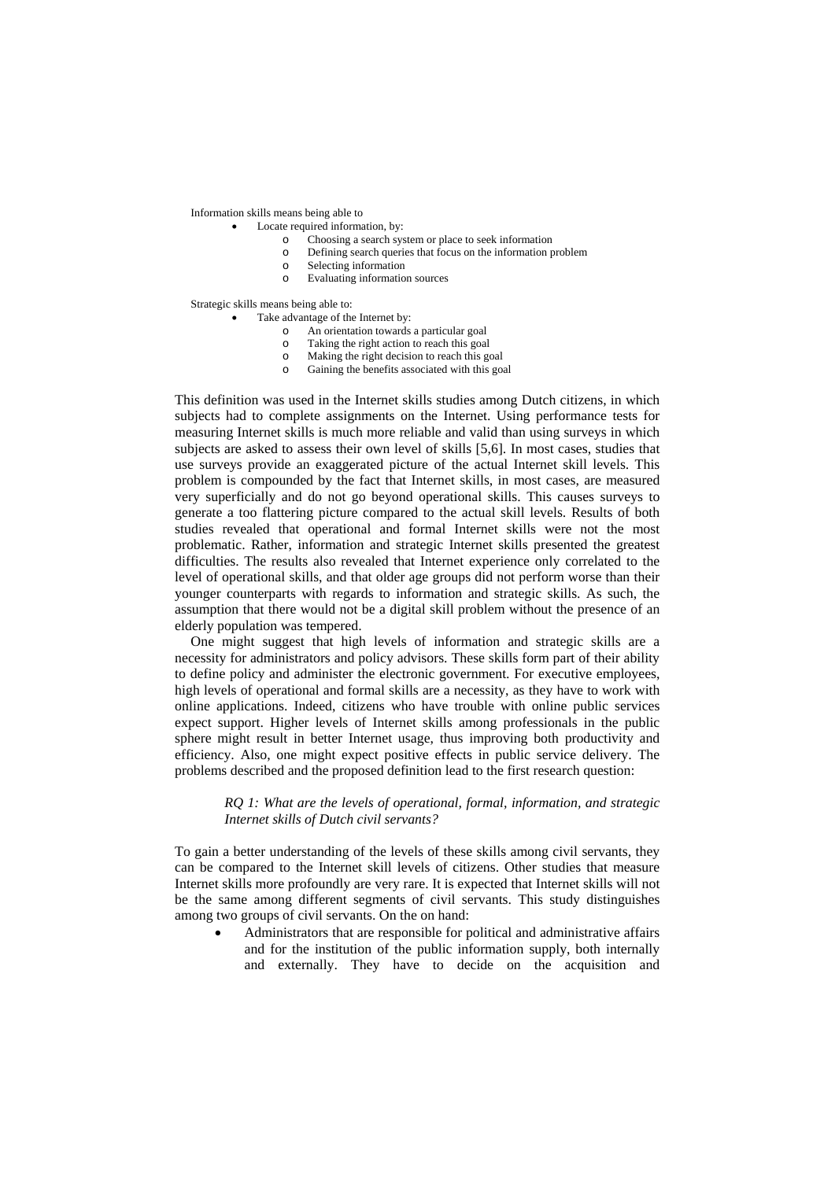Information skills means being able to

- Locate required information, by:
	- o Choosing a search system or place to seek information
	- o Defining search queries that focus on the information problem
	- o Selecting information
	- o Evaluating information sources

Strategic skills means being able to:

- Take advantage of the Internet by:
	- o An orientation towards a particular goal
	- o Taking the right action to reach this goal
	- o Making the right decision to reach this goal
	- o Gaining the benefits associated with this goal

This definition was used in the Internet skills studies among Dutch citizens, in which subjects had to complete assignments on the Internet. Using performance tests for measuring Internet skills is much more reliable and valid than using surveys in which subjects are asked to assess their own level of skills [5,6]. In most cases, studies that use surveys provide an exaggerated picture of the actual Internet skill levels. This problem is compounded by the fact that Internet skills, in most cases, are measured very superficially and do not go beyond operational skills. This causes surveys to generate a too flattering picture compared to the actual skill levels. Results of both studies revealed that operational and formal Internet skills were not the most problematic. Rather, information and strategic Internet skills presented the greatest difficulties. The results also revealed that Internet experience only correlated to the level of operational skills, and that older age groups did not perform worse than their younger counterparts with regards to information and strategic skills. As such, the assumption that there would not be a digital skill problem without the presence of an elderly population was tempered.

One might suggest that high levels of information and strategic skills are a necessity for administrators and policy advisors. These skills form part of their ability to define policy and administer the electronic government. For executive employees, high levels of operational and formal skills are a necessity, as they have to work with online applications. Indeed, citizens who have trouble with online public services expect support. Higher levels of Internet skills among professionals in the public sphere might result in better Internet usage, thus improving both productivity and efficiency. Also, one might expect positive effects in public service delivery. The problems described and the proposed definition lead to the first research question:

#### *RQ 1: What are the levels of operational, formal, information, and strategic Internet skills of Dutch civil servants?*

To gain a better understanding of the levels of these skills among civil servants, they can be compared to the Internet skill levels of citizens. Other studies that measure Internet skills more profoundly are very rare. It is expected that Internet skills will not be the same among different segments of civil servants. This study distinguishes among two groups of civil servants. On the on hand:

 Administrators that are responsible for political and administrative affairs and for the institution of the public information supply, both internally and externally. They have to decide on the acquisition and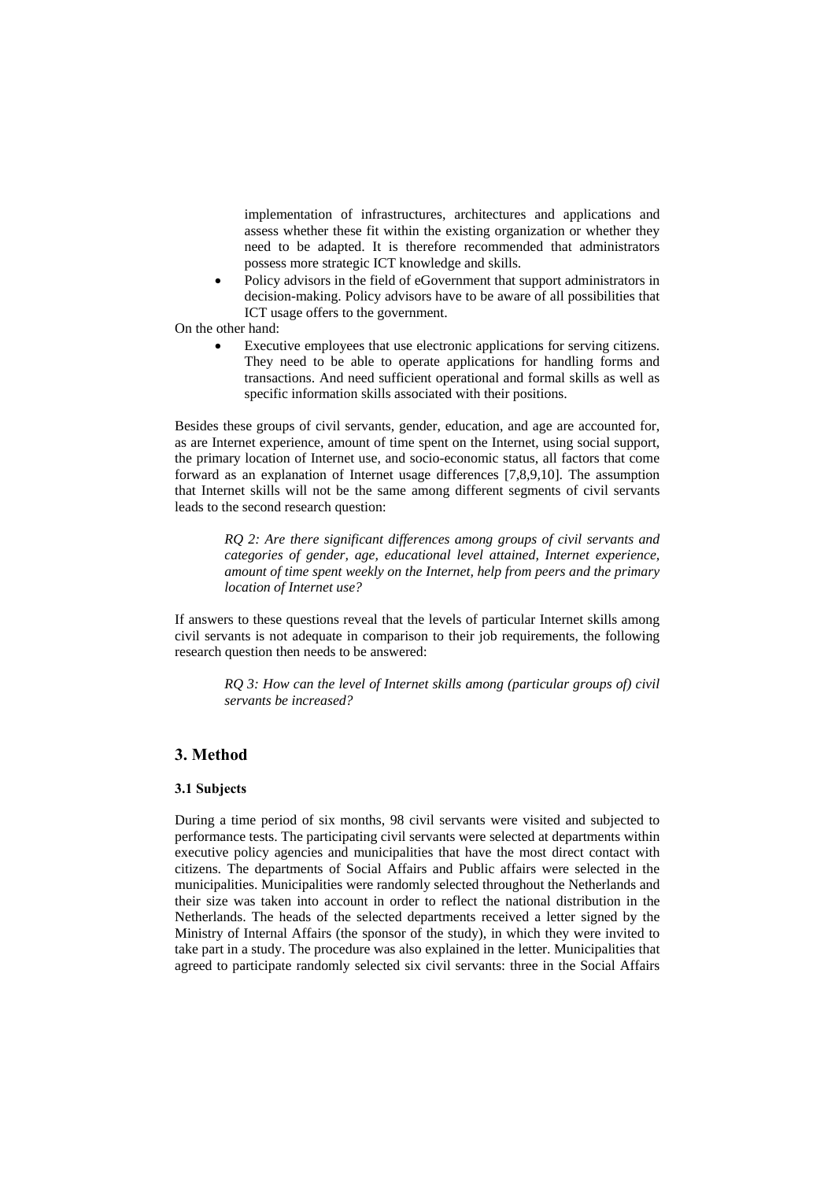implementation of infrastructures, architectures and applications and assess whether these fit within the existing organization or whether they need to be adapted. It is therefore recommended that administrators possess more strategic ICT knowledge and skills.

 Policy advisors in the field of eGovernment that support administrators in decision-making. Policy advisors have to be aware of all possibilities that ICT usage offers to the government.

On the other hand:

 Executive employees that use electronic applications for serving citizens. They need to be able to operate applications for handling forms and transactions. And need sufficient operational and formal skills as well as specific information skills associated with their positions.

Besides these groups of civil servants, gender, education, and age are accounted for, as are Internet experience, amount of time spent on the Internet, using social support, the primary location of Internet use, and socio-economic status, all factors that come forward as an explanation of Internet usage differences [7,8,9,10]. The assumption that Internet skills will not be the same among different segments of civil servants leads to the second research question:

*RQ 2: Are there significant differences among groups of civil servants and categories of gender, age, educational level attained, Internet experience, amount of time spent weekly on the Internet, help from peers and the primary location of Internet use?* 

If answers to these questions reveal that the levels of particular Internet skills among civil servants is not adequate in comparison to their job requirements, the following research question then needs to be answered:

> *RQ 3: How can the level of Internet skills among (particular groups of) civil servants be increased?*

### **3. Method**

### **3.1 Subjects**

During a time period of six months, 98 civil servants were visited and subjected to performance tests. The participating civil servants were selected at departments within executive policy agencies and municipalities that have the most direct contact with citizens. The departments of Social Affairs and Public affairs were selected in the municipalities. Municipalities were randomly selected throughout the Netherlands and their size was taken into account in order to reflect the national distribution in the Netherlands. The heads of the selected departments received a letter signed by the Ministry of Internal Affairs (the sponsor of the study), in which they were invited to take part in a study. The procedure was also explained in the letter. Municipalities that agreed to participate randomly selected six civil servants: three in the Social Affairs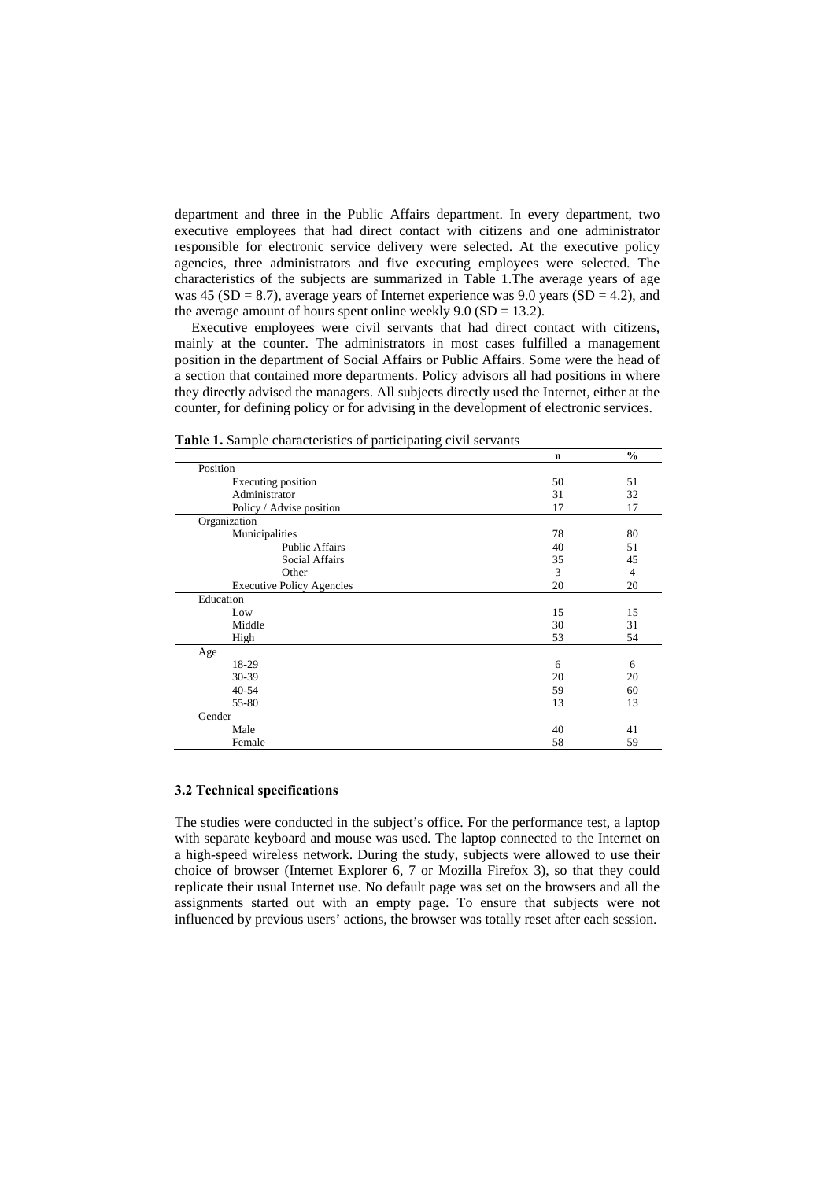department and three in the Public Affairs department. In every department, two executive employees that had direct contact with citizens and one administrator responsible for electronic service delivery were selected. At the executive policy agencies, three administrators and five executing employees were selected. The characteristics of the subjects are summarized in Table 1.The average years of age was 45 (SD = 8.7), average years of Internet experience was 9.0 years (SD = 4.2), and the average amount of hours spent online weekly  $9.0$  (SD = 13.2).

Executive employees were civil servants that had direct contact with citizens, mainly at the counter. The administrators in most cases fulfilled a management position in the department of Social Affairs or Public Affairs. Some were the head of a section that contained more departments. Policy advisors all had positions in where they directly advised the managers. All subjects directly used the Internet, either at the counter, for defining policy or for advising in the development of electronic services.

|                                  | $\mathbf n$ | $\frac{0}{0}$  |
|----------------------------------|-------------|----------------|
| Position                         |             |                |
| Executing position               | 50          | 51             |
| Administrator                    | 31          | 32             |
| Policy / Advise position         | 17          | 17             |
| Organization                     |             |                |
| Municipalities                   | 78          | 80             |
| <b>Public Affairs</b>            | 40          | 51             |
| <b>Social Affairs</b>            | 35          | 45             |
| Other                            | 3           | $\overline{4}$ |
| <b>Executive Policy Agencies</b> | 20          | 20             |
| Education                        |             |                |
| Low                              | 15          | 15             |
| Middle                           | 30          | 31             |
| High                             | 53          | 54             |
| Age                              |             |                |
| 18-29                            | 6           | 6              |
| 30-39                            | 20          | 20             |
| $40 - 54$                        | 59          | 60             |
| 55-80                            | 13          | 13             |
| Gender                           |             |                |
| Male                             | 40          | 41             |
| Female                           | 58          | 59             |

**Table 1.** Sample characteristics of participating civil servants

#### **3.2 Technical specifications**

The studies were conducted in the subject's office. For the performance test, a laptop with separate keyboard and mouse was used. The laptop connected to the Internet on a high-speed wireless network. During the study, subjects were allowed to use their choice of browser (Internet Explorer 6, 7 or Mozilla Firefox 3), so that they could replicate their usual Internet use. No default page was set on the browsers and all the assignments started out with an empty page. To ensure that subjects were not influenced by previous users' actions, the browser was totally reset after each session.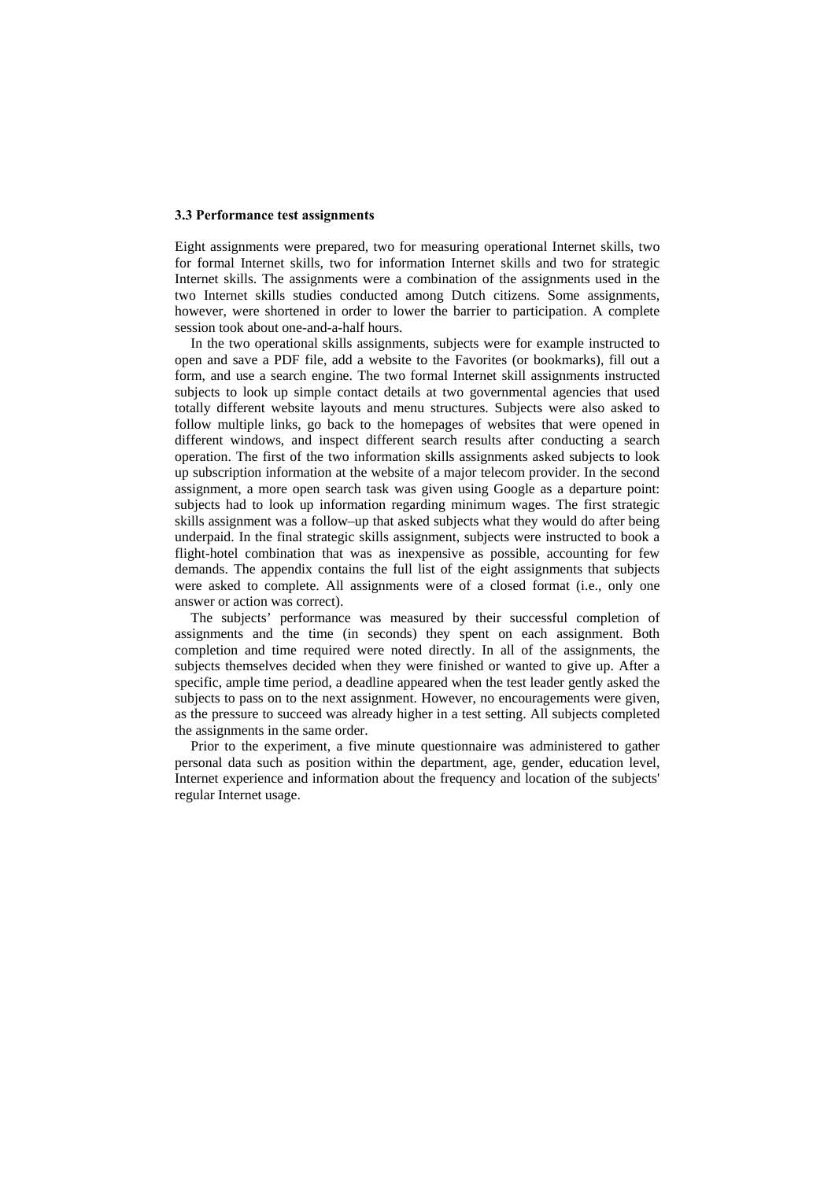#### **3.3 Performance test assignments**

Eight assignments were prepared, two for measuring operational Internet skills, two for formal Internet skills, two for information Internet skills and two for strategic Internet skills. The assignments were a combination of the assignments used in the two Internet skills studies conducted among Dutch citizens. Some assignments, however, were shortened in order to lower the barrier to participation. A complete session took about one-and-a-half hours.

In the two operational skills assignments, subjects were for example instructed to open and save a PDF file, add a website to the Favorites (or bookmarks), fill out a form, and use a search engine. The two formal Internet skill assignments instructed subjects to look up simple contact details at two governmental agencies that used totally different website layouts and menu structures. Subjects were also asked to follow multiple links, go back to the homepages of websites that were opened in different windows, and inspect different search results after conducting a search operation. The first of the two information skills assignments asked subjects to look up subscription information at the website of a major telecom provider. In the second assignment, a more open search task was given using Google as a departure point: subjects had to look up information regarding minimum wages. The first strategic skills assignment was a follow–up that asked subjects what they would do after being underpaid. In the final strategic skills assignment, subjects were instructed to book a flight-hotel combination that was as inexpensive as possible, accounting for few demands. The appendix contains the full list of the eight assignments that subjects were asked to complete. All assignments were of a closed format (i.e., only one answer or action was correct).

The subjects' performance was measured by their successful completion of assignments and the time (in seconds) they spent on each assignment. Both completion and time required were noted directly. In all of the assignments, the subjects themselves decided when they were finished or wanted to give up. After a specific, ample time period, a deadline appeared when the test leader gently asked the subjects to pass on to the next assignment. However, no encouragements were given, as the pressure to succeed was already higher in a test setting. All subjects completed the assignments in the same order.

Prior to the experiment, a five minute questionnaire was administered to gather personal data such as position within the department, age, gender, education level, Internet experience and information about the frequency and location of the subjects' regular Internet usage.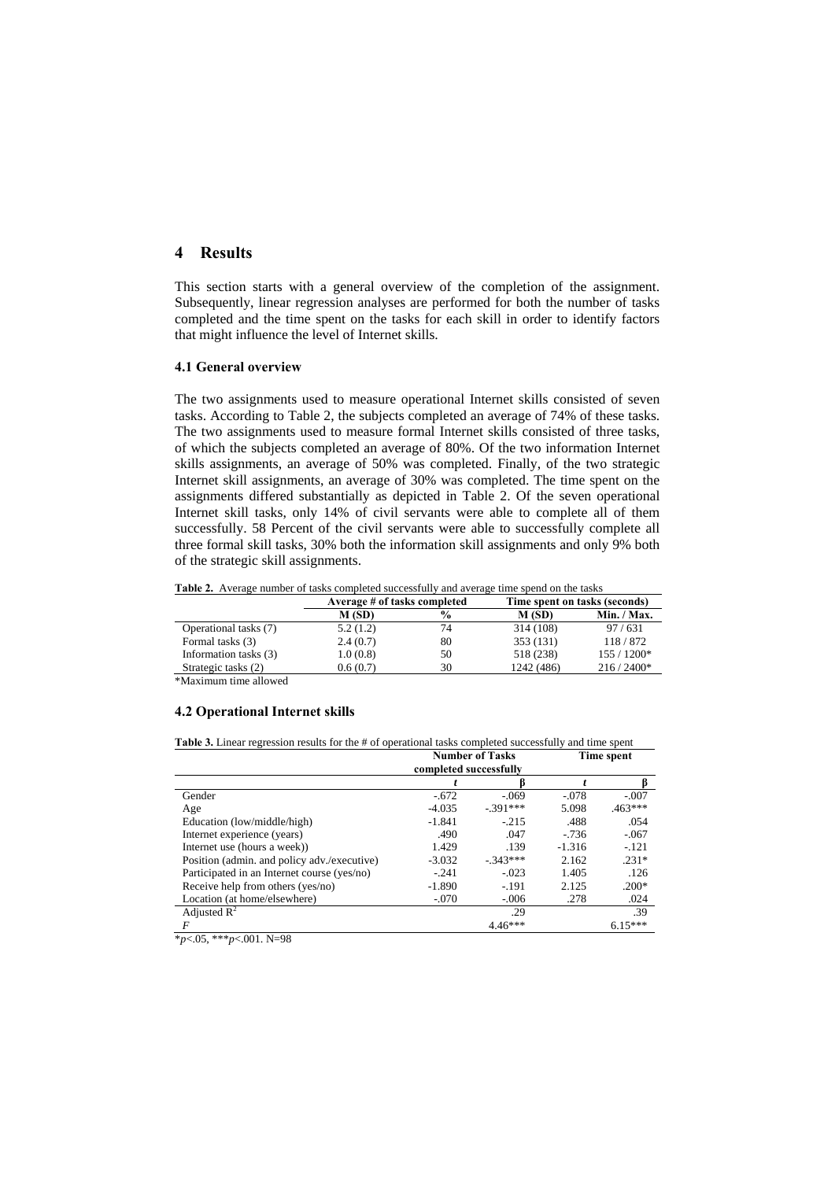# **4 Results**

This section starts with a general overview of the completion of the assignment. Subsequently, linear regression analyses are performed for both the number of tasks completed and the time spent on the tasks for each skill in order to identify factors that might influence the level of Internet skills.

#### **4.1 General overview**

The two assignments used to measure operational Internet skills consisted of seven tasks. According to Table 2, the subjects completed an average of 74% of these tasks. The two assignments used to measure formal Internet skills consisted of three tasks, of which the subjects completed an average of 80%. Of the two information Internet skills assignments, an average of 50% was completed. Finally, of the two strategic Internet skill assignments, an average of 30% was completed. The time spent on the assignments differed substantially as depicted in Table 2. Of the seven operational Internet skill tasks, only 14% of civil servants were able to complete all of them successfully. 58 Percent of the civil servants were able to successfully complete all three formal skill tasks, 30% both the information skill assignments and only 9% both of the strategic skill assignments.

|  |  |  | Table 2. Average number of tasks completed successfully and average time spend on the tasks |  |
|--|--|--|---------------------------------------------------------------------------------------------|--|
|  |  |  |                                                                                             |  |

|                       | <b>Tubic 2:</b> Triviage humori of tasks completed successfully and average three spend on the tasks<br>Average # of tasks completed |               | Time spent on tasks (seconds) |             |
|-----------------------|--------------------------------------------------------------------------------------------------------------------------------------|---------------|-------------------------------|-------------|
|                       | M(SD)                                                                                                                                | $\frac{0}{0}$ | M (SD)                        | Min. / Max. |
| Operational tasks (7) | 5.2(1.2)                                                                                                                             | 74            | 314 (108)                     | 97/631      |
| Formal tasks (3)      | 2.4(0.7)                                                                                                                             | 80            | 353 (131)                     | 118/872     |
| Information tasks (3) | 1.0(0.8)                                                                                                                             | 50            | 518 (238)                     | $155/1200*$ |
| Strategic tasks (2)   | 0.6(0.7)                                                                                                                             | 30            | 1242 (486)                    | $216/2400*$ |

\*Maximum time allowed

#### **4.2 Operational Internet skills**

|                                             | <b>Number of Tasks</b> |            | Time spent |           |
|---------------------------------------------|------------------------|------------|------------|-----------|
|                                             | completed successfully |            |            |           |
|                                             |                        |            |            |           |
| Gender                                      | $-.672$                | $-.069$    | $-.078$    | $-.007$   |
| Age                                         | $-4.035$               | $-.391***$ | 5.098      | $.463***$ |
| Education (low/middle/high)                 | $-1.841$               | $-.215$    | .488       | .054      |
| Internet experience (years)                 | .490                   | .047       | $-736$     | $-.067$   |
| Internet use (hours a week))                | 1.429                  | .139       | $-1.316$   | $-.121$   |
| Position (admin. and policy adv./executive) | $-3.032$               | $-343***$  | 2.162      | $.231*$   |
| Participated in an Internet course (yes/no) | $-.241$                | $-.023$    | 1.405      | .126      |
| Receive help from others (yes/no)           | $-1.890$               | $-.191$    | 2.125      | $.200*$   |
| Location (at home/elsewhere)                | $-.070$                | $-.006$    | .278       | .024      |
| Adjusted $\mathbb{R}^2$                     |                        | .29        |            | .39       |
| F                                           |                        | $4.46***$  |            | $6.15***$ |

\**p*<.05, \*\*\**p*<.001. N=98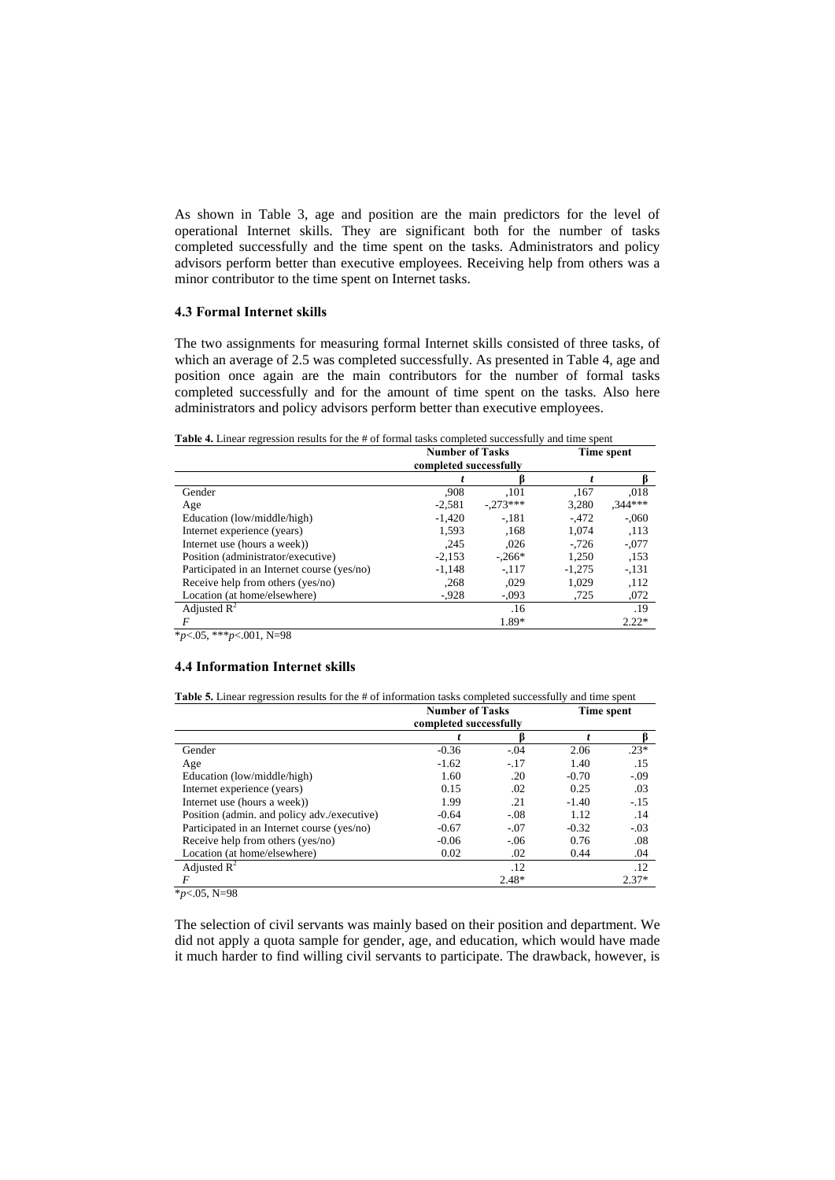As shown in Table 3, age and position are the main predictors for the level of operational Internet skills. They are significant both for the number of tasks completed successfully and the time spent on the tasks. Administrators and policy advisors perform better than executive employees. Receiving help from others was a minor contributor to the time spent on Internet tasks.

#### **4.3 Formal Internet skills**

The two assignments for measuring formal Internet skills consisted of three tasks, of which an average of 2.5 was completed successfully. As presented in Table 4, age and position once again are the main contributors for the number of formal tasks completed successfully and for the amount of time spent on the tasks. Also here administrators and policy advisors perform better than executive employees.

**Table 4.** Linear regression results for the # of formal tasks completed successfully and time spent

|                                             | <b>Number of Tasks</b> |            | Time spent |           |
|---------------------------------------------|------------------------|------------|------------|-----------|
|                                             | completed successfully |            |            |           |
|                                             |                        |            |            |           |
| Gender                                      | .908                   | .101       | ,167       | .018      |
| Age                                         | $-2,581$               | $-.273***$ | 3,280      | $,344***$ |
| Education (low/middle/high)                 | $-1,420$               | $-181$     | $-472$     | $-.060$   |
| Internet experience (years)                 | 1.593                  | .168       | 1.074      | ,113      |
| Internet use (hours a week))                | .245                   | .026       | $-726$     | $-.077$   |
| Position (administrator/executive)          | $-2.153$               | $-.266*$   | 1.250      | ,153      |
| Participated in an Internet course (yes/no) | $-1,148$               | $-.117$    | $-1,275$   | $-.131$   |
| Receive help from others (yes/no)           | .268                   | .029       | 1,029      | ,112      |
| Location (at home/elsewhere)                | $-0.928$               | $-.093$    | .725       | ,072      |
| Adjusted $\mathbb{R}^2$                     |                        | .16        |            | .19       |
| F                                           |                        | 1.89*      |            | $2.22*$   |

\**p*<.05, \*\*\**p*<.001, N=98

#### **4.4 Information Internet skills**

**Table 5.** Linear regression results for the # of information tasks completed successfully and time spent

|                                             | <b>Number of Tasks</b> |         | Time spent |         |
|---------------------------------------------|------------------------|---------|------------|---------|
|                                             | completed successfully |         |            |         |
|                                             |                        |         |            |         |
| Gender                                      | $-0.36$                | $-.04$  | 2.06       | $.23*$  |
| Age                                         | $-1.62$                | $-.17$  | 1.40       | .15     |
| Education (low/middle/high)                 | 1.60                   | .20     | $-0.70$    | $-.09$  |
| Internet experience (years)                 | 0.15                   | .02     | 0.25       | .03     |
| Internet use (hours a week))                | 1.99                   | .21     | $-1.40$    | $-.15$  |
| Position (admin. and policy adv./executive) | $-0.64$                | $-.08$  | 1.12       | .14     |
| Participated in an Internet course (yes/no) | $-0.67$                | $-.07$  | $-0.32$    | $-.03$  |
| Receive help from others (yes/no)           | $-0.06$                | $-.06$  | 0.76       | .08     |
| Location (at home/elsewhere)                | 0.02                   | .02     | 0.44       | .04     |
| Adjusted $\mathbb{R}^2$                     |                        | .12     |            | .12     |
|                                             |                        | $2.48*$ |            | $2.37*$ |

\**p*<.05, N=98

The selection of civil servants was mainly based on their position and department. We did not apply a quota sample for gender, age, and education, which would have made it much harder to find willing civil servants to participate. The drawback, however, is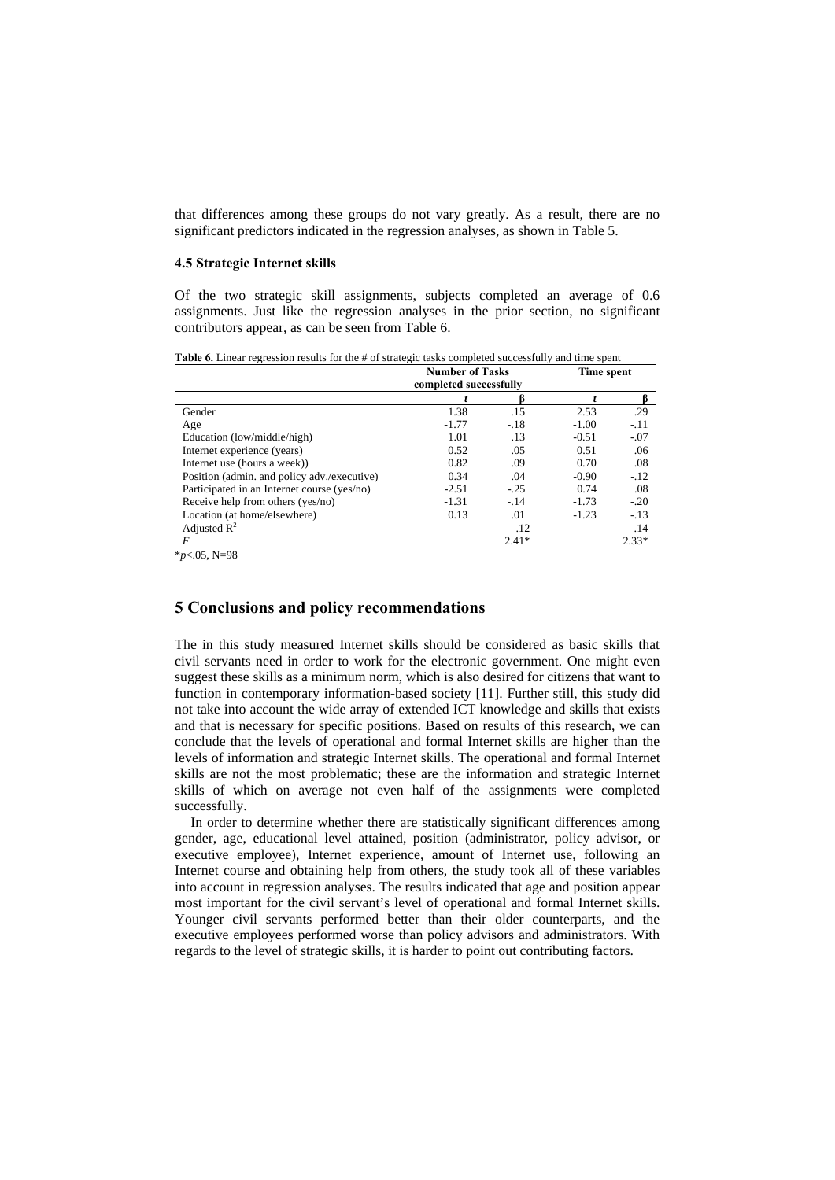that differences among these groups do not vary greatly. As a result, there are no significant predictors indicated in the regression analyses, as shown in Table 5.

#### **4.5 Strategic Internet skills**

Of the two strategic skill assignments, subjects completed an average of 0.6 assignments. Just like the regression analyses in the prior section, no significant contributors appear, as can be seen from Table 6.

**Table 6.** Linear regression results for the # of strategic tasks completed successfully and time spent

|                                             | <b>Number of Tasks</b><br>completed successfully |         | Time spent |         |
|---------------------------------------------|--------------------------------------------------|---------|------------|---------|
|                                             |                                                  |         |            |         |
| Gender                                      | 1.38                                             | .15     | 2.53       | .29     |
| Age                                         | $-1.77$                                          | $-.18$  | $-1.00$    | $-.11$  |
| Education (low/middle/high)                 | 1.01                                             | .13     | $-0.51$    | $-.07$  |
| Internet experience (years)                 | 0.52                                             | .05     | 0.51       | .06     |
| Internet use (hours a week))                | 0.82                                             | .09     | 0.70       | .08     |
| Position (admin. and policy adv./executive) | 0.34                                             | .04     | $-0.90$    | $-.12$  |
| Participated in an Internet course (yes/no) | $-2.51$                                          | $-.25$  | 0.74       | .08     |
| Receive help from others (yes/no)           | $-1.31$                                          | $-.14$  | $-1.73$    | $-.20$  |
| Location (at home/elsewhere)                | 0.13                                             | .01     | $-1.23$    | $-.13$  |
| Adjusted $\mathbb{R}^2$                     |                                                  | .12     |            | .14     |
|                                             |                                                  | $2.41*$ |            | $2.33*$ |
| $A = 0.7$ $B = 0.0$                         |                                                  |         |            |         |

\**p*<.05, N=98

### **5 Conclusions and policy recommendations**

The in this study measured Internet skills should be considered as basic skills that civil servants need in order to work for the electronic government. One might even suggest these skills as a minimum norm, which is also desired for citizens that want to function in contemporary information-based society [11]. Further still, this study did not take into account the wide array of extended ICT knowledge and skills that exists and that is necessary for specific positions. Based on results of this research, we can conclude that the levels of operational and formal Internet skills are higher than the levels of information and strategic Internet skills. The operational and formal Internet skills are not the most problematic; these are the information and strategic Internet skills of which on average not even half of the assignments were completed successfully.

In order to determine whether there are statistically significant differences among gender, age, educational level attained, position (administrator, policy advisor, or executive employee), Internet experience, amount of Internet use, following an Internet course and obtaining help from others, the study took all of these variables into account in regression analyses. The results indicated that age and position appear most important for the civil servant's level of operational and formal Internet skills. Younger civil servants performed better than their older counterparts, and the executive employees performed worse than policy advisors and administrators. With regards to the level of strategic skills, it is harder to point out contributing factors.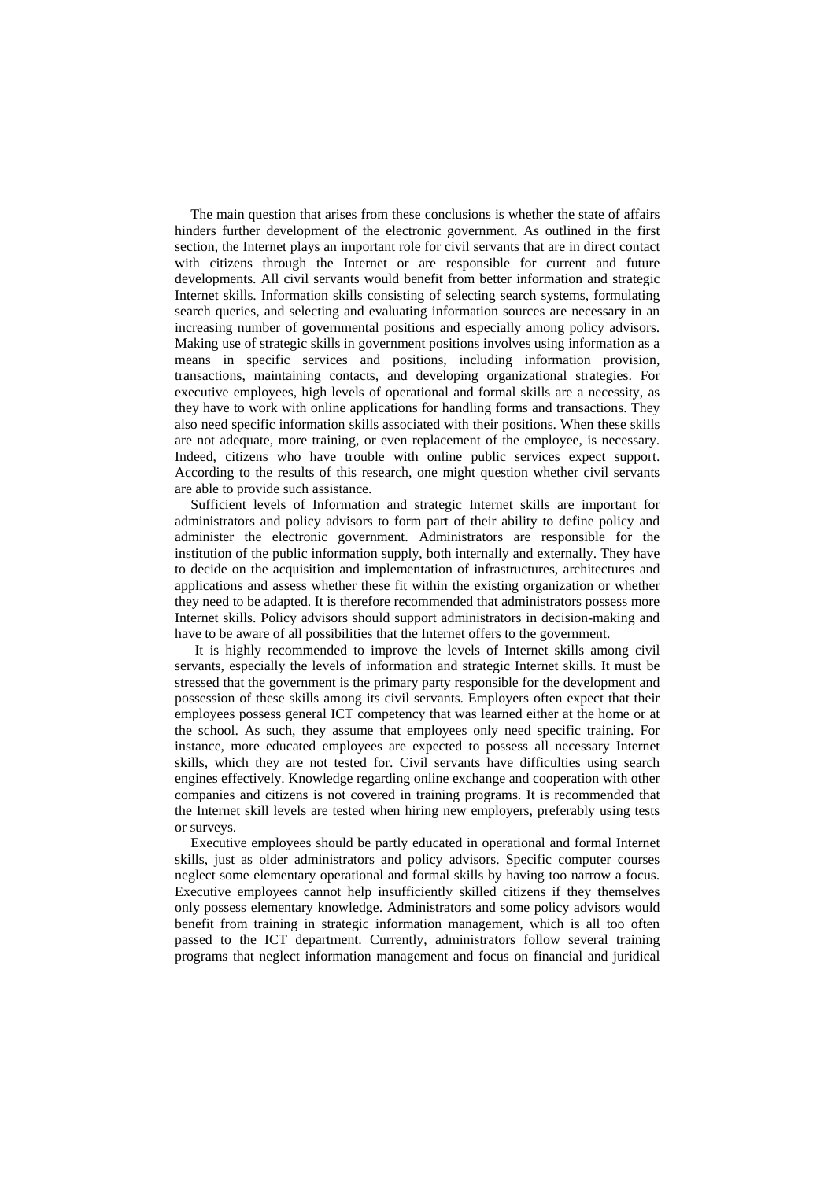The main question that arises from these conclusions is whether the state of affairs hinders further development of the electronic government. As outlined in the first section, the Internet plays an important role for civil servants that are in direct contact with citizens through the Internet or are responsible for current and future developments. All civil servants would benefit from better information and strategic Internet skills. Information skills consisting of selecting search systems, formulating search queries, and selecting and evaluating information sources are necessary in an increasing number of governmental positions and especially among policy advisors. Making use of strategic skills in government positions involves using information as a means in specific services and positions, including information provision, transactions, maintaining contacts, and developing organizational strategies. For executive employees, high levels of operational and formal skills are a necessity, as they have to work with online applications for handling forms and transactions. They also need specific information skills associated with their positions. When these skills are not adequate, more training, or even replacement of the employee, is necessary. Indeed, citizens who have trouble with online public services expect support. According to the results of this research, one might question whether civil servants are able to provide such assistance.

Sufficient levels of Information and strategic Internet skills are important for administrators and policy advisors to form part of their ability to define policy and administer the electronic government. Administrators are responsible for the institution of the public information supply, both internally and externally. They have to decide on the acquisition and implementation of infrastructures, architectures and applications and assess whether these fit within the existing organization or whether they need to be adapted. It is therefore recommended that administrators possess more Internet skills. Policy advisors should support administrators in decision-making and have to be aware of all possibilities that the Internet offers to the government.

It is highly recommended to improve the levels of Internet skills among civil servants, especially the levels of information and strategic Internet skills. It must be stressed that the government is the primary party responsible for the development and possession of these skills among its civil servants. Employers often expect that their employees possess general ICT competency that was learned either at the home or at the school. As such, they assume that employees only need specific training. For instance, more educated employees are expected to possess all necessary Internet skills, which they are not tested for. Civil servants have difficulties using search engines effectively. Knowledge regarding online exchange and cooperation with other companies and citizens is not covered in training programs. It is recommended that the Internet skill levels are tested when hiring new employers, preferably using tests or surveys.

Executive employees should be partly educated in operational and formal Internet skills, just as older administrators and policy advisors. Specific computer courses neglect some elementary operational and formal skills by having too narrow a focus. Executive employees cannot help insufficiently skilled citizens if they themselves only possess elementary knowledge. Administrators and some policy advisors would benefit from training in strategic information management, which is all too often passed to the ICT department. Currently, administrators follow several training programs that neglect information management and focus on financial and juridical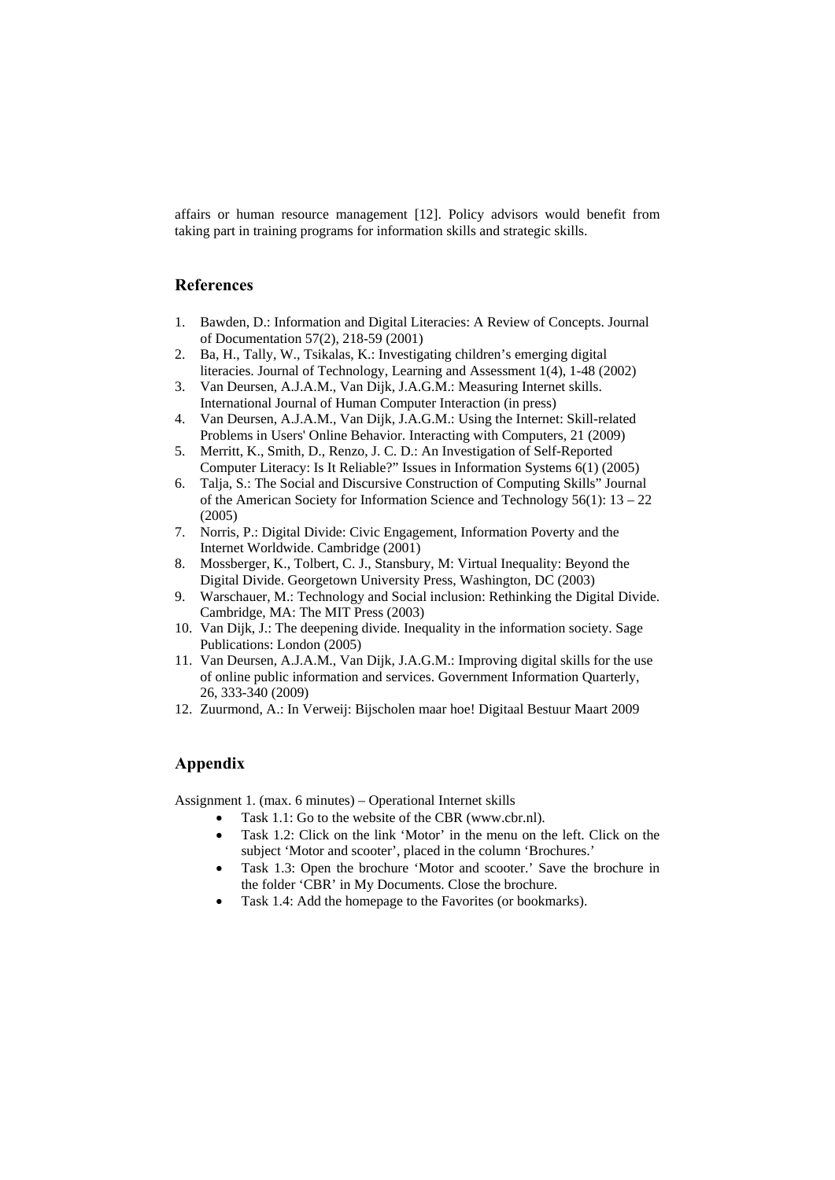affairs or human resource management [12]. Policy advisors would benefit from taking part in training programs for information skills and strategic skills.

## **References**

- 1. Bawden, D.: Information and Digital Literacies: A Review of Concepts. Journal of Documentation 57(2), 218-59 (2001)
- 2. Ba, H., Tally, W., Tsikalas, K.: Investigating children's emerging digital literacies. Journal of Technology, Learning and Assessment 1(4), 1-48 (2002)
- 3. Van Deursen, A.J.A.M., Van Dijk, J.A.G.M.: Measuring Internet skills. International Journal of Human Computer Interaction (in press)
- 4. Van Deursen, A.J.A.M., Van Dijk, J.A.G.M.: Using the Internet: Skill-related Problems in Users' Online Behavior. Interacting with Computers, 21 (2009)
- 5. Merritt, K., Smith, D., Renzo, J. C. D.: An Investigation of Self-Reported Computer Literacy: Is It Reliable?" Issues in Information Systems 6(1) (2005)
- 6. Talja, S.: The Social and Discursive Construction of Computing Skills" Journal of the American Society for Information Science and Technology 56(1): 13 – 22 (2005)
- 7. Norris, P.: Digital Divide: Civic Engagement, Information Poverty and the Internet Worldwide. Cambridge (2001)
- 8. Mossberger, K., Tolbert, C. J., Stansbury, M: Virtual Inequality: Beyond the Digital Divide. Georgetown University Press, Washington, DC (2003)
- 9. Warschauer, M.: Technology and Social inclusion: Rethinking the Digital Divide. Cambridge, MA: The MIT Press (2003)
- 10. Van Dijk, J.: The deepening divide. Inequality in the information society. Sage Publications: London (2005)
- 11. Van Deursen, A.J.A.M., Van Dijk, J.A.G.M.: Improving digital skills for the use of online public information and services. Government Information Quarterly, 26, 333-340 (2009)
- 12. Zuurmond, A.: In Verweij: Bijscholen maar hoe! Digitaal Bestuur Maart 2009

# **Appendix**

Assignment 1. (max. 6 minutes) – Operational Internet skills

- Task 1.1: Go to the website of the CBR (www.cbr.nl).
- Task 1.2: Click on the link 'Motor' in the menu on the left. Click on the subject 'Motor and scooter', placed in the column 'Brochures.'
- Task 1.3: Open the brochure 'Motor and scooter.' Save the brochure in the folder 'CBR' in My Documents. Close the brochure.
- Task 1.4: Add the homepage to the Favorites (or bookmarks).